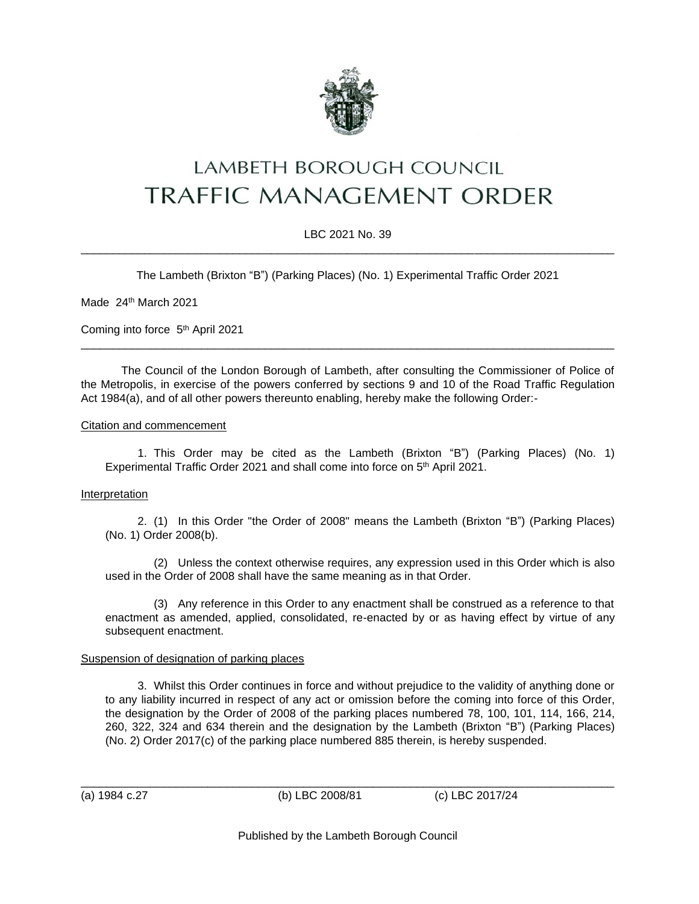

# LAMBETH BOROUGH COUNCIL **TRAFFIC MANAGEMENT ORDER**

# LBC 2021 No. 39 \_\_\_\_\_\_\_\_\_\_\_\_\_\_\_\_\_\_\_\_\_\_\_\_\_\_\_\_\_\_\_\_\_\_\_\_\_\_\_\_\_\_\_\_\_\_\_\_\_\_\_\_\_\_\_\_\_\_\_\_\_\_\_\_\_\_\_\_\_\_\_\_\_\_\_\_\_\_\_\_\_\_\_\_

The Lambeth (Brixton "B") (Parking Places) (No. 1) Experimental Traffic Order 2021

Made 24<sup>th</sup> March 2021

Coming into force 5<sup>th</sup> April 2021

The Council of the London Borough of Lambeth, after consulting the Commissioner of Police of the Metropolis, in exercise of the powers conferred by sections 9 and 10 of the Road Traffic Regulation Act 1984(a), and of all other powers thereunto enabling, hereby make the following Order:-

\_\_\_\_\_\_\_\_\_\_\_\_\_\_\_\_\_\_\_\_\_\_\_\_\_\_\_\_\_\_\_\_\_\_\_\_\_\_\_\_\_\_\_\_\_\_\_\_\_\_\_\_\_\_\_\_\_\_\_\_\_\_\_\_\_\_\_\_\_\_\_\_\_\_\_\_\_\_\_\_\_\_\_\_

## Citation and commencement

1. This Order may be cited as the Lambeth (Brixton "B") (Parking Places) (No. 1) Experimental Traffic Order 2021 and shall come into force on 5<sup>th</sup> April 2021.

## **Interpretation**

2. (1) In this Order "the Order of 2008" means the Lambeth (Brixton "B") (Parking Places) (No. 1) Order 2008(b).

(2) Unless the context otherwise requires, any expression used in this Order which is also used in the Order of 2008 shall have the same meaning as in that Order.

(3) Any reference in this Order to any enactment shall be construed as a reference to that enactment as amended, applied, consolidated, re-enacted by or as having effect by virtue of any subsequent enactment.

## Suspension of designation of parking places

3. Whilst this Order continues in force and without prejudice to the validity of anything done or to any liability incurred in respect of any act or omission before the coming into force of this Order, the designation by the Order of 2008 of the parking places numbered 78, 100, 101, 114, 166, 214, 260, 322, 324 and 634 therein and the designation by the Lambeth (Brixton "B") (Parking Places) (No. 2) Order 2017(c) of the parking place numbered 885 therein, is hereby suspended.

(a) 1984 c.27 (b) LBC 2008/81 (c) LBC 2017/24

Published by the Lambeth Borough Council

\_\_\_\_\_\_\_\_\_\_\_\_\_\_\_\_\_\_\_\_\_\_\_\_\_\_\_\_\_\_\_\_\_\_\_\_\_\_\_\_\_\_\_\_\_\_\_\_\_\_\_\_\_\_\_\_\_\_\_\_\_\_\_\_\_\_\_\_\_\_\_\_\_\_\_\_\_\_\_\_\_\_\_\_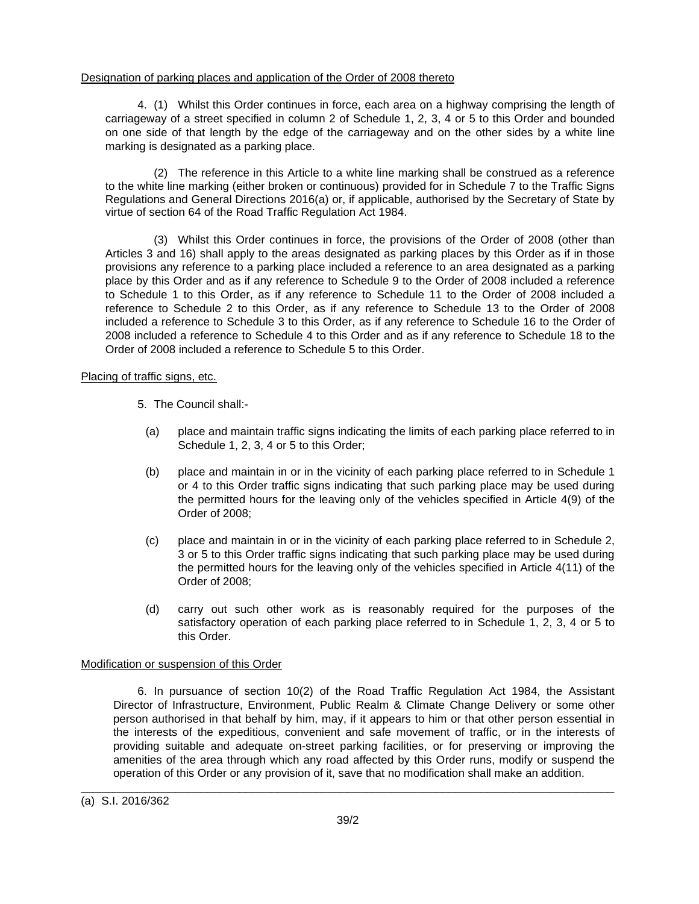## Designation of parking places and application of the Order of 2008 thereto

4. (1) Whilst this Order continues in force, each area on a highway comprising the length of carriageway of a street specified in column 2 of Schedule 1, 2, 3, 4 or 5 to this Order and bounded on one side of that length by the edge of the carriageway and on the other sides by a white line marking is designated as a parking place.

(2) The reference in this Article to a white line marking shall be construed as a reference to the white line marking (either broken or continuous) provided for in Schedule 7 to the Traffic Signs Regulations and General Directions 2016(a) or, if applicable, authorised by the Secretary of State by virtue of section 64 of the Road Traffic Regulation Act 1984.

(3) Whilst this Order continues in force, the provisions of the Order of 2008 (other than Articles 3 and 16) shall apply to the areas designated as parking places by this Order as if in those provisions any reference to a parking place included a reference to an area designated as a parking place by this Order and as if any reference to Schedule 9 to the Order of 2008 included a reference to Schedule 1 to this Order, as if any reference to Schedule 11 to the Order of 2008 included a reference to Schedule 2 to this Order, as if any reference to Schedule 13 to the Order of 2008 included a reference to Schedule 3 to this Order, as if any reference to Schedule 16 to the Order of 2008 included a reference to Schedule 4 to this Order and as if any reference to Schedule 18 to the Order of 2008 included a reference to Schedule 5 to this Order.

## Placing of traffic signs, etc.

- 5. The Council shall:-
	- (a) place and maintain traffic signs indicating the limits of each parking place referred to in Schedule 1, 2, 3, 4 or 5 to this Order;
	- (b) place and maintain in or in the vicinity of each parking place referred to in Schedule 1 or 4 to this Order traffic signs indicating that such parking place may be used during the permitted hours for the leaving only of the vehicles specified in Article 4(9) of the Order of 2008;
	- (c) place and maintain in or in the vicinity of each parking place referred to in Schedule 2, 3 or 5 to this Order traffic signs indicating that such parking place may be used during the permitted hours for the leaving only of the vehicles specified in Article 4(11) of the Order of 2008;
	- (d) carry out such other work as is reasonably required for the purposes of the satisfactory operation of each parking place referred to in Schedule 1, 2, 3, 4 or 5 to this Order.

## Modification or suspension of this Order

6. In pursuance of section 10(2) of the Road Traffic Regulation Act 1984, the Assistant Director of Infrastructure, Environment, Public Realm & Climate Change Delivery or some other person authorised in that behalf by him, may, if it appears to him or that other person essential in the interests of the expeditious, convenient and safe movement of traffic, or in the interests of providing suitable and adequate on-street parking facilities, or for preserving or improving the amenities of the area through which any road affected by this Order runs, modify or suspend the operation of this Order or any provision of it, save that no modification shall make an addition.

\_\_\_\_\_\_\_\_\_\_\_\_\_\_\_\_\_\_\_\_\_\_\_\_\_\_\_\_\_\_\_\_\_\_\_\_\_\_\_\_\_\_\_\_\_\_\_\_\_\_\_\_\_\_\_\_\_\_\_\_\_\_\_\_\_\_\_\_\_\_\_\_\_\_\_\_\_\_\_\_\_\_\_\_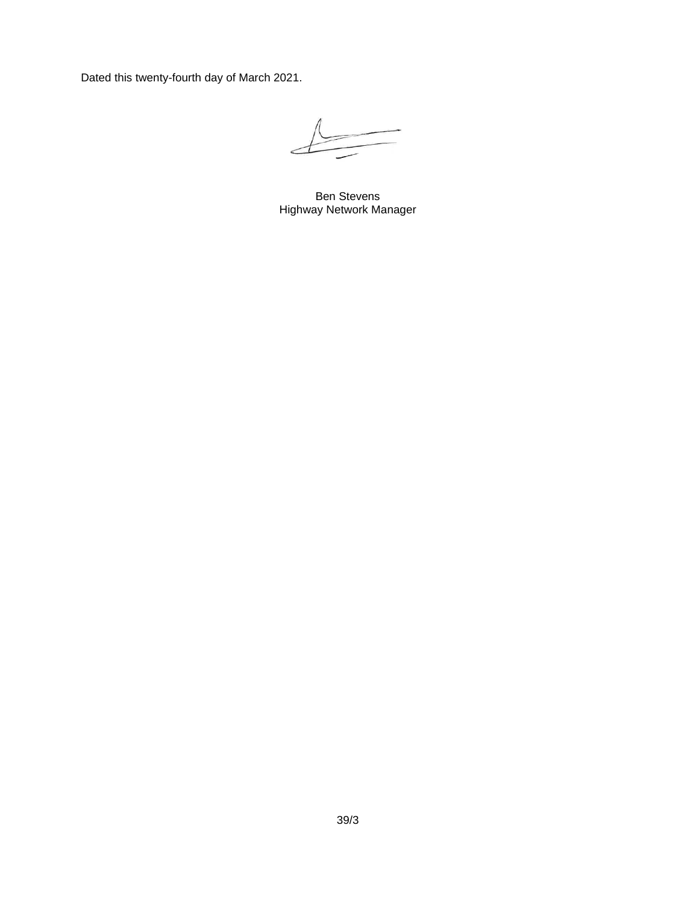Dated this twenty-fourth day of March 2021.

Ben Stevens Highway Network Manager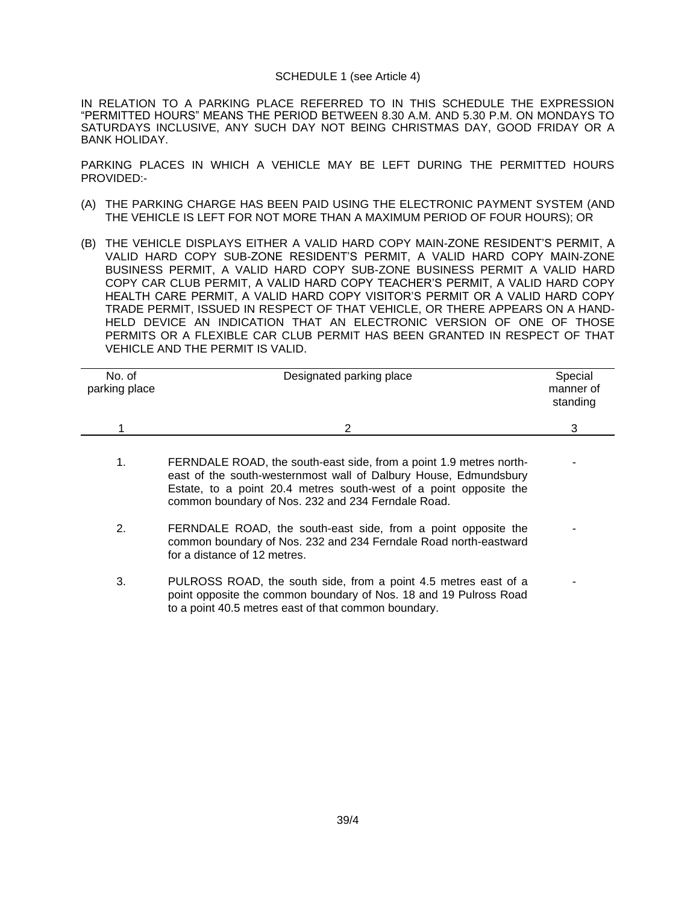#### SCHEDULE 1 (see Article 4)

IN RELATION TO A PARKING PLACE REFERRED TO IN THIS SCHEDULE THE EXPRESSION "PERMITTED HOURS" MEANS THE PERIOD BETWEEN 8.30 A.M. AND 5.30 P.M. ON MONDAYS TO SATURDAYS INCLUSIVE, ANY SUCH DAY NOT BEING CHRISTMAS DAY, GOOD FRIDAY OR A BANK HOLIDAY.

PARKING PLACES IN WHICH A VEHICLE MAY BE LEFT DURING THE PERMITTED HOURS PROVIDED:-

- (A) THE PARKING CHARGE HAS BEEN PAID USING THE ELECTRONIC PAYMENT SYSTEM (AND THE VEHICLE IS LEFT FOR NOT MORE THAN A MAXIMUM PERIOD OF FOUR HOURS); OR
- (B) THE VEHICLE DISPLAYS EITHER A VALID HARD COPY MAIN-ZONE RESIDENT'S PERMIT, A VALID HARD COPY SUB-ZONE RESIDENT'S PERMIT, A VALID HARD COPY MAIN-ZONE BUSINESS PERMIT, A VALID HARD COPY SUB-ZONE BUSINESS PERMIT A VALID HARD COPY CAR CLUB PERMIT, A VALID HARD COPY TEACHER'S PERMIT, A VALID HARD COPY HEALTH CARE PERMIT, A VALID HARD COPY VISITOR'S PERMIT OR A VALID HARD COPY TRADE PERMIT, ISSUED IN RESPECT OF THAT VEHICLE, OR THERE APPEARS ON A HAND-HELD DEVICE AN INDICATION THAT AN ELECTRONIC VERSION OF ONE OF THOSE PERMITS OR A FLEXIBLE CAR CLUB PERMIT HAS BEEN GRANTED IN RESPECT OF THAT VEHICLE AND THE PERMIT IS VALID.

| No. of<br>parking place | Designated parking place                                                                                                                                                                                                                                          | Special<br>manner of<br>standing |
|-------------------------|-------------------------------------------------------------------------------------------------------------------------------------------------------------------------------------------------------------------------------------------------------------------|----------------------------------|
|                         | 2                                                                                                                                                                                                                                                                 | 3                                |
| 1.                      | FERNDALE ROAD, the south-east side, from a point 1.9 metres north-<br>east of the south-westernmost wall of Dalbury House, Edmundsbury<br>Estate, to a point 20.4 metres south-west of a point opposite the<br>common boundary of Nos. 232 and 234 Ferndale Road. |                                  |
| 2.                      | FERNDALE ROAD, the south-east side, from a point opposite the<br>common boundary of Nos. 232 and 234 Ferndale Road north-eastward<br>for a distance of 12 metres.                                                                                                 |                                  |
| 3.                      | PULROSS ROAD, the south side, from a point 4.5 metres east of a<br>point opposite the common boundary of Nos. 18 and 19 Pulross Road<br>to a point 40.5 metres east of that common boundary.                                                                      |                                  |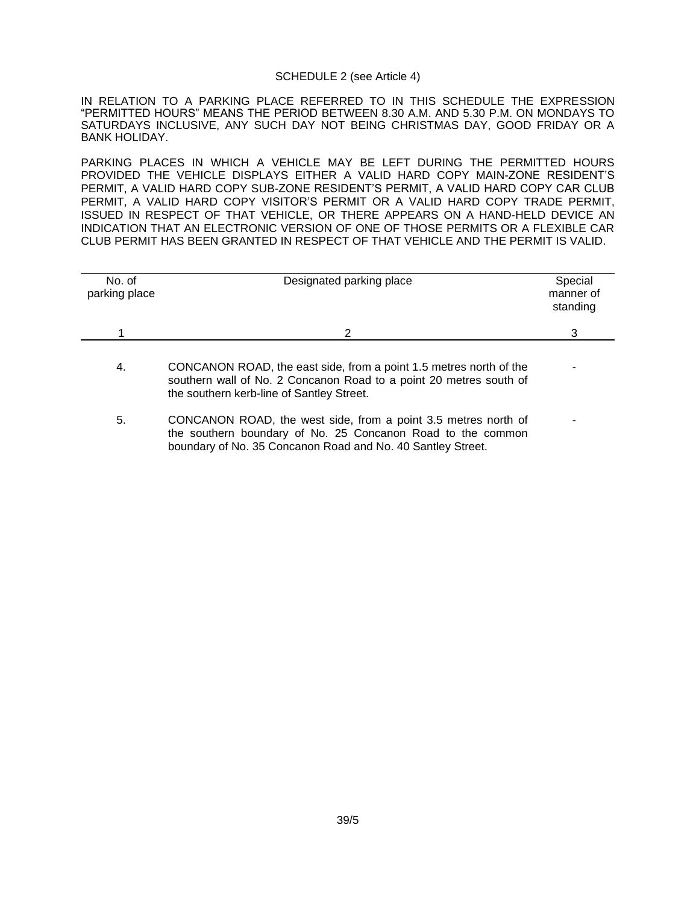#### SCHEDULE 2 (see Article 4)

IN RELATION TO A PARKING PLACE REFERRED TO IN THIS SCHEDULE THE EXPRESSION "PERMITTED HOURS" MEANS THE PERIOD BETWEEN 8.30 A.M. AND 5.30 P.M. ON MONDAYS TO SATURDAYS INCLUSIVE, ANY SUCH DAY NOT BEING CHRISTMAS DAY, GOOD FRIDAY OR A BANK HOLIDAY.

PARKING PLACES IN WHICH A VEHICLE MAY BE LEFT DURING THE PERMITTED HOURS PROVIDED THE VEHICLE DISPLAYS EITHER A VALID HARD COPY MAIN-ZONE RESIDENT'S PERMIT, A VALID HARD COPY SUB-ZONE RESIDENT'S PERMIT, A VALID HARD COPY CAR CLUB PERMIT, A VALID HARD COPY VISITOR'S PERMIT OR A VALID HARD COPY TRADE PERMIT, ISSUED IN RESPECT OF THAT VEHICLE, OR THERE APPEARS ON A HAND-HELD DEVICE AN INDICATION THAT AN ELECTRONIC VERSION OF ONE OF THOSE PERMITS OR A FLEXIBLE CAR CLUB PERMIT HAS BEEN GRANTED IN RESPECT OF THAT VEHICLE AND THE PERMIT IS VALID.

| No. of<br>parking place | Designated parking place | Special<br>manner of<br>standing |
|-------------------------|--------------------------|----------------------------------|
|                         |                          | ╭                                |
|                         |                          |                                  |

- 4. CONCANON ROAD, the east side, from a point 1.5 metres north of the southern wall of No. 2 Concanon Road to a point 20 metres south of the southern kerb-line of Santley Street. -
- 5. CONCANON ROAD, the west side, from a point 3.5 metres north of the southern boundary of No. 25 Concanon Road to the common boundary of No. 35 Concanon Road and No. 40 Santley Street. -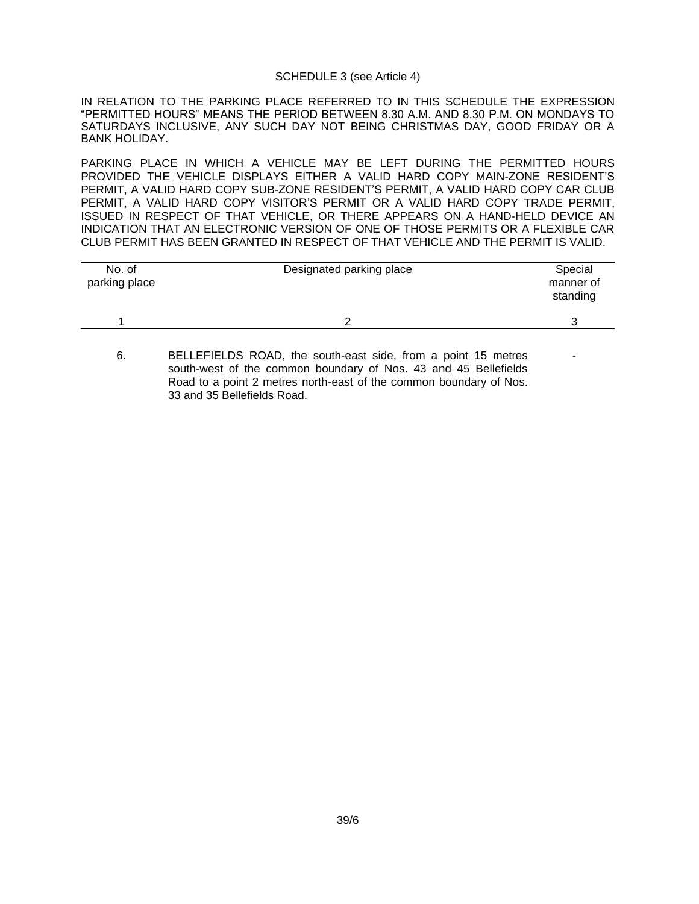#### SCHEDULE 3 (see Article 4)

IN RELATION TO THE PARKING PLACE REFERRED TO IN THIS SCHEDULE THE EXPRESSION "PERMITTED HOURS" MEANS THE PERIOD BETWEEN 8.30 A.M. AND 8.30 P.M. ON MONDAYS TO SATURDAYS INCLUSIVE, ANY SUCH DAY NOT BEING CHRISTMAS DAY, GOOD FRIDAY OR A BANK HOLIDAY.

PARKING PLACE IN WHICH A VEHICLE MAY BE LEFT DURING THE PERMITTED HOURS PROVIDED THE VEHICLE DISPLAYS EITHER A VALID HARD COPY MAIN-ZONE RESIDENT'S PERMIT, A VALID HARD COPY SUB-ZONE RESIDENT'S PERMIT, A VALID HARD COPY CAR CLUB PERMIT, A VALID HARD COPY VISITOR'S PERMIT OR A VALID HARD COPY TRADE PERMIT, ISSUED IN RESPECT OF THAT VEHICLE, OR THERE APPEARS ON A HAND-HELD DEVICE AN INDICATION THAT AN ELECTRONIC VERSION OF ONE OF THOSE PERMITS OR A FLEXIBLE CAR CLUB PERMIT HAS BEEN GRANTED IN RESPECT OF THAT VEHICLE AND THE PERMIT IS VALID.

| No. of<br>parking place | Designated parking place | Special<br>manner of<br>standing |
|-------------------------|--------------------------|----------------------------------|
|                         |                          |                                  |

-

<sup>6.</sup> BELLEFIELDS ROAD, the south-east side, from a point 15 metres south-west of the common boundary of Nos. 43 and 45 Bellefields Road to a point 2 metres north-east of the common boundary of Nos. 33 and 35 Bellefields Road.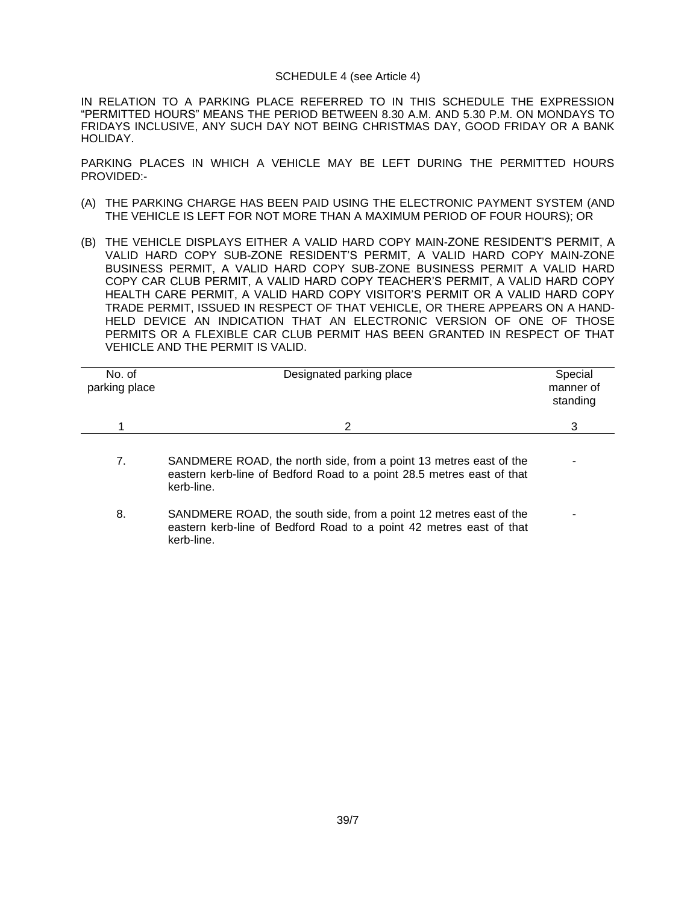#### SCHEDULE 4 (see Article 4)

IN RELATION TO A PARKING PLACE REFERRED TO IN THIS SCHEDULE THE EXPRESSION "PERMITTED HOURS" MEANS THE PERIOD BETWEEN 8.30 A.M. AND 5.30 P.M. ON MONDAYS TO FRIDAYS INCLUSIVE, ANY SUCH DAY NOT BEING CHRISTMAS DAY, GOOD FRIDAY OR A BANK HOLIDAY.

PARKING PLACES IN WHICH A VEHICLE MAY BE LEFT DURING THE PERMITTED HOURS PROVIDED:-

- (A) THE PARKING CHARGE HAS BEEN PAID USING THE ELECTRONIC PAYMENT SYSTEM (AND THE VEHICLE IS LEFT FOR NOT MORE THAN A MAXIMUM PERIOD OF FOUR HOURS); OR
- (B) THE VEHICLE DISPLAYS EITHER A VALID HARD COPY MAIN-ZONE RESIDENT'S PERMIT, A VALID HARD COPY SUB-ZONE RESIDENT'S PERMIT, A VALID HARD COPY MAIN-ZONE BUSINESS PERMIT, A VALID HARD COPY SUB-ZONE BUSINESS PERMIT A VALID HARD COPY CAR CLUB PERMIT, A VALID HARD COPY TEACHER'S PERMIT, A VALID HARD COPY HEALTH CARE PERMIT, A VALID HARD COPY VISITOR'S PERMIT OR A VALID HARD COPY TRADE PERMIT, ISSUED IN RESPECT OF THAT VEHICLE, OR THERE APPEARS ON A HAND-HELD DEVICE AN INDICATION THAT AN ELECTRONIC VERSION OF ONE OF THOSE PERMITS OR A FLEXIBLE CAR CLUB PERMIT HAS BEEN GRANTED IN RESPECT OF THAT VEHICLE AND THE PERMIT IS VALID.

| No. of<br>parking place | Designated parking place | Special<br>manner of<br>standing |
|-------------------------|--------------------------|----------------------------------|
|                         |                          |                                  |

- 7. SANDMERE ROAD, the north side, from a point 13 metres east of the eastern kerb-line of Bedford Road to a point 28.5 metres east of that kerb-line. -
- 8. SANDMERE ROAD, the south side, from a point 12 metres east of the eastern kerb-line of Bedford Road to a point 42 metres east of that kerb-line. -